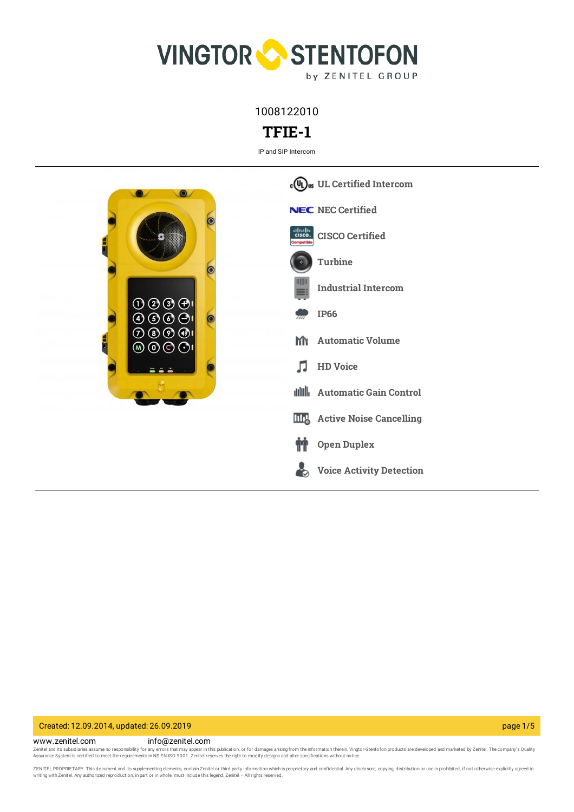

1008122010

# **TFIE-1**

IP and SIP Intercom



### Created: 12.09.2014, updated: 26.09.2019 page 1/5

www.zenitel.com info@zenitel.com Zenitel and its subsidiaries assume no responsibility for any errors that may appear in this publication, or for damages arising from the information therein. Vingtor-Stentofon products are developed and marketed by Zenite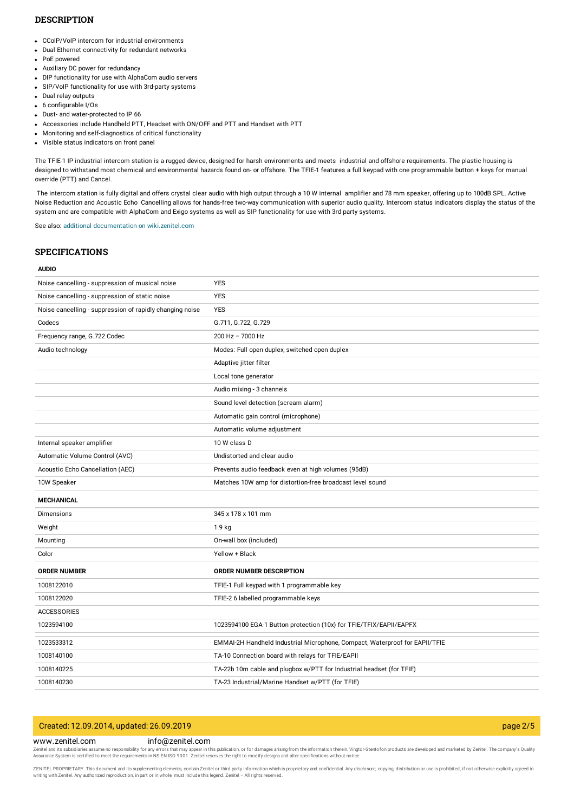### **DESCRIPTION**

- CCoIP/VoIP intercom for industrial environments
- Dual Ethernet connectivity for redundant networks
- PoE powered
- Auxiliary DC power for redundancy
- DIP functionality for use with AlphaCom audio servers
- SIP/VoIP functionality for use with 3rd-party systems
- Dual relay outputs
- 6 configurable I/Os
- Dust- and water-protected to IP 66
- Accessories include Handheld PTT, Headset with ON/OFF and PTT and Handset with PTT
- Monitoring and self-diagnostics of critical functionality
- Visible status indicators on front panel

The TFIE-1 IP industrial intercom station is a rugged device, designed for harsh environments and meets industrial and offshore requirements. The plastic housing is designed to withstand most chemical and environmental hazards found on- or offshore. The TFIE-1 features a full keypad with one programmable button + keys for manual override (PTT) and Cancel.

The intercom station is fully digital and offers crystal clear audio with high output through a 10 W internal amplifier and 78 mm speaker, offering up to 100dB SPL. Active Noise Reduction and Acoustic Echo Cancelling allows for hands-free two-way communication with superior audio quality. Intercom status indicators display the status of the system and are compatible with AlphaCom and Exigo systems as well as SIP functionality for use with 3rd party systems.

See also: additional documentation on [wiki.zenitel.com](https://wiki.zenitel.com/wiki/TFIE-1)

#### **SPECIFICATIONS**

#### **AUDIO**

| Noise cancelling - suppression of musical noise          | <b>YES</b>                                                                  |
|----------------------------------------------------------|-----------------------------------------------------------------------------|
| Noise cancelling - suppression of static noise           | <b>YES</b>                                                                  |
| Noise cancelling - suppression of rapidly changing noise | <b>YES</b>                                                                  |
| Codecs                                                   | G.711, G.722, G.729                                                         |
| Frequency range, G.722 Codec                             | 200 Hz - 7000 Hz                                                            |
| Audio technology                                         | Modes: Full open duplex, switched open duplex                               |
|                                                          | Adaptive jitter filter                                                      |
|                                                          | Local tone generator                                                        |
|                                                          | Audio mixing - 3 channels                                                   |
|                                                          | Sound level detection (scream alarm)                                        |
|                                                          | Automatic gain control (microphone)                                         |
|                                                          | Automatic volume adjustment                                                 |
| Internal speaker amplifier                               | 10 W class D                                                                |
| Automatic Volume Control (AVC)                           | Undistorted and clear audio                                                 |
| Acoustic Echo Cancellation (AEC)                         | Prevents audio feedback even at high volumes (95dB)                         |
| 10W Speaker                                              | Matches 10W amp for distortion-free broadcast level sound                   |
| <b>MECHANICAL</b>                                        |                                                                             |
| <b>Dimensions</b>                                        | 345 x 178 x 101 mm                                                          |
| Weight                                                   | 1.9 <sub>kg</sub>                                                           |
| Mounting                                                 | On-wall box (included)                                                      |
| Color                                                    | Yellow + Black                                                              |
| <b>ORDER NUMBER</b>                                      | <b>ORDER NUMBER DESCRIPTION</b>                                             |
| 1008122010                                               | TFIE-1 Full keypad with 1 programmable key                                  |
| 1008122020                                               | TFIE-2 6 labelled programmable keys                                         |
| <b>ACCESSORIES</b>                                       |                                                                             |
| 1023594100                                               | 1023594100 EGA-1 Button protection (10x) for TFIE/TFIX/EAPII/EAPFX          |
| 1023533312                                               | EMMAI-2H Handheld Industrial Microphone, Compact, Waterproof for EAPII/TFIE |
| 1008140100                                               | TA-10 Connection board with relays for TFIE/EAPII                           |
| 1008140225                                               | TA-22b 10m cable and plugbox w/PTT for Industrial headset (for TFIE)        |
| 1008140230                                               | TA-23 Industrial/Marine Handset w/PTT (for TFIE)                            |

### Created: 12.09.2014, updated: 26.09.2019 page 2/5

#### www.zenitel.com info@zenitel.com

Zenitel and its subsidiaries assume no responsibility for any errors that may appear in this publication, or for damages arising from the information therein. Vingtor-Stentofon products are developed and marketed by Zenite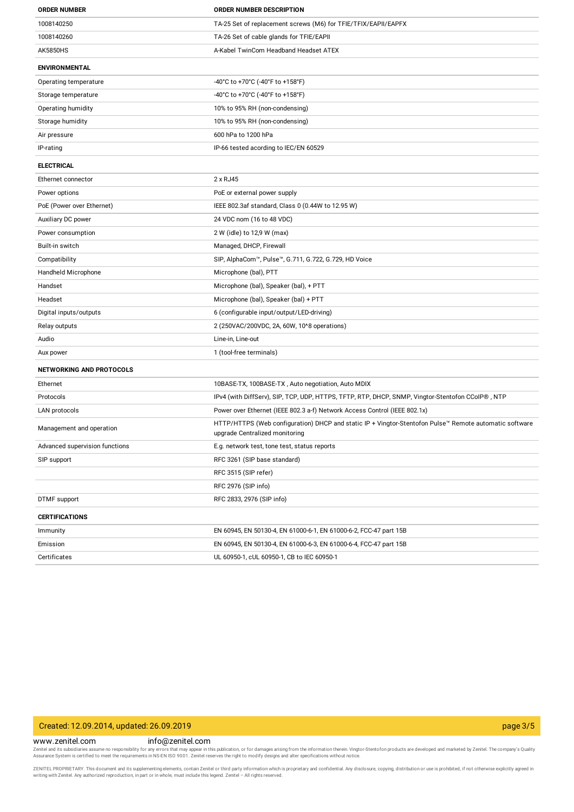| <b>ORDER NUMBER</b>             | <b>ORDER NUMBER DESCRIPTION</b>                                                                                                          |
|---------------------------------|------------------------------------------------------------------------------------------------------------------------------------------|
| 1008140250                      | TA-25 Set of replacement screws (M6) for TFIE/TFIX/EAPII/EAPFX                                                                           |
| 1008140260                      | TA-26 Set of cable glands for TFIE/EAPII                                                                                                 |
| <b>AK5850HS</b>                 | A-Kabel TwinCom Headband Headset ATEX                                                                                                    |
| <b>ENVIRONMENTAL</b>            |                                                                                                                                          |
| Operating temperature           | -40°C to +70°C (-40°F to +158°F)                                                                                                         |
| Storage temperature             | -40°C to +70°C (-40°F to +158°F)                                                                                                         |
| Operating humidity              | 10% to 95% RH (non-condensing)                                                                                                           |
| Storage humidity                | 10% to 95% RH (non-condensing)                                                                                                           |
| Air pressure                    | 600 hPa to 1200 hPa                                                                                                                      |
| IP-rating                       | IP-66 tested acording to IEC/EN 60529                                                                                                    |
| <b>ELECTRICAL</b>               |                                                                                                                                          |
| Ethernet connector              | 2 x RJ45                                                                                                                                 |
| Power options                   | PoE or external power supply                                                                                                             |
| PoE (Power over Ethernet)       | IEEE 802.3af standard, Class 0 (0.44W to 12.95 W)                                                                                        |
| Auxiliary DC power              | 24 VDC nom (16 to 48 VDC)                                                                                                                |
| Power consumption               | 2 W (idle) to 12,9 W (max)                                                                                                               |
| Built-in switch                 | Managed, DHCP, Firewall                                                                                                                  |
| Compatibility                   | SIP, AlphaCom™, Pulse™, G.711, G.722, G.729, HD Voice                                                                                    |
| Handheld Microphone             | Microphone (bal), PTT                                                                                                                    |
| Handset                         | Microphone (bal), Speaker (bal), + PTT                                                                                                   |
| Headset                         | Microphone (bal), Speaker (bal) + PTT                                                                                                    |
| Digital inputs/outputs          | 6 (configurable input/output/LED-driving)                                                                                                |
| Relay outputs                   | 2 (250VAC/200VDC, 2A, 60W, 10^8 operations)                                                                                              |
| Audio                           | Line-in, Line-out                                                                                                                        |
| Aux power                       | 1 (tool-free terminals)                                                                                                                  |
| <b>NETWORKING AND PROTOCOLS</b> |                                                                                                                                          |
| Ethernet                        | 10BASE-TX, 100BASE-TX, Auto negotiation, Auto MDIX                                                                                       |
| Protocols                       | IPv4 (with DiffServ), SIP, TCP, UDP, HTTPS, TFTP, RTP, DHCP, SNMP, Vingtor-Stentofon CCoIP®, NTP                                         |
| LAN protocols                   | Power over Ethernet (IEEE 802.3 a-f) Network Access Control (IEEE 802.1x)                                                                |
| Management and operation        | HTTP/HTTPS (Web configuration) DHCP and static IP + Vingtor-Stentofon Pulse™ Remote automatic software<br>upgrade Centralized monitoring |
| Advanced supervision functions  | E.g. network test, tone test, status reports                                                                                             |
| SIP support                     | RFC 3261 (SIP base standard)                                                                                                             |
|                                 | RFC 3515 (SIP refer)                                                                                                                     |
|                                 | RFC 2976 (SIP info)                                                                                                                      |
| <b>DTMF</b> support             | RFC 2833, 2976 (SIP info)                                                                                                                |
| <b>CERTIFICATIONS</b>           |                                                                                                                                          |
| Immunity                        | EN 60945, EN 50130-4, EN 61000-6-1, EN 61000-6-2, FCC-47 part 15B                                                                        |
| Emission                        | EN 60945, EN 50130-4, EN 61000-6-3, EN 61000-6-4, FCC-47 part 15B                                                                        |
| Certificates                    | UL 60950-1, cUL 60950-1, CB to IEC 60950-1                                                                                               |

### Created: 12.09.2014, updated: 26.09.2019 page 3/5

www.zenitel.com info@zenitel.com

Zenitel and its subsidiaries assume no responsibility for any errors that may appear in this publication, or for damages arising from the information therein. Vingtor-Stentofon products are developed and marketed by Zenite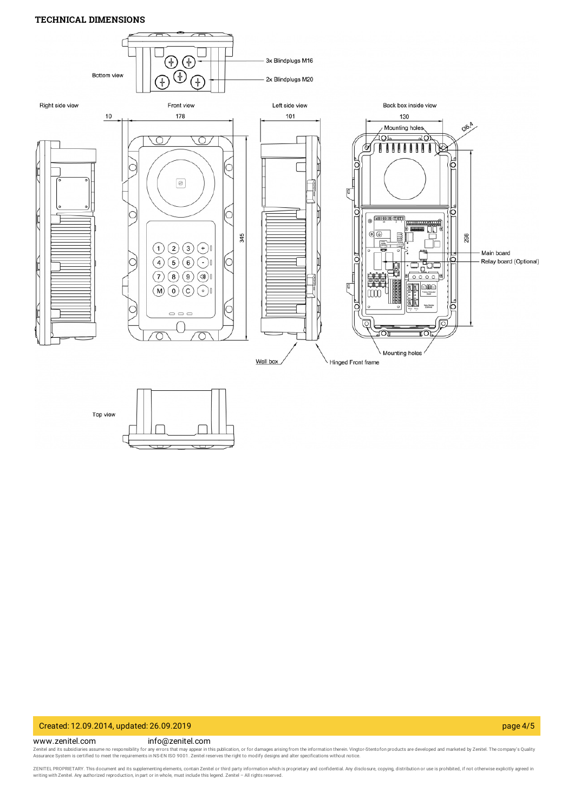### **TECHNICAL DIMENSIONS**



### Created: 12.09.2014, updated: 26.09.2019 page 4/5

#### www.zenitel.com info@zenitel.com

Zenitel and its subsidiaries assume no responsibility for any errors that may appear in this publication, or for damages arising from the information therein. Vingtor-Stentofon products are developed and marketed by Zenite